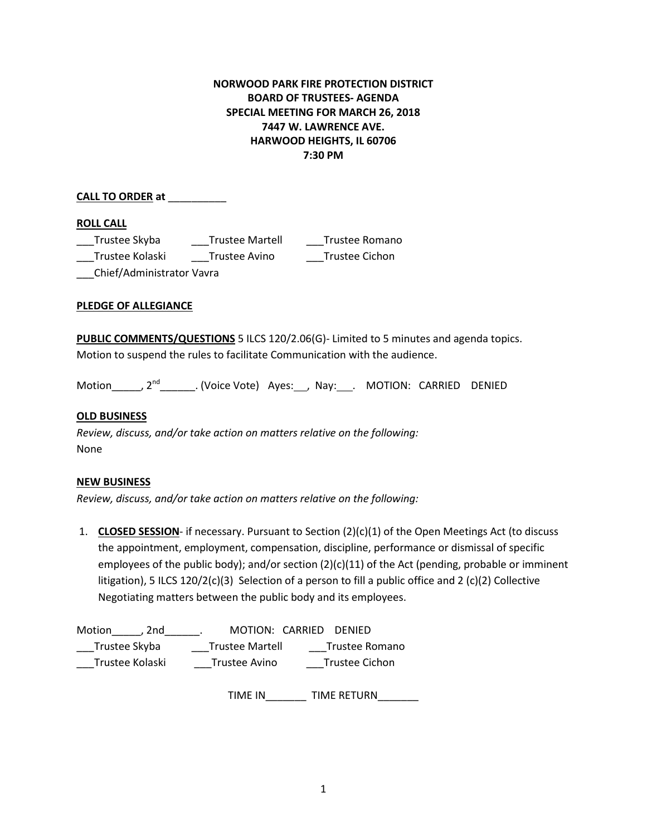## **NORWOOD PARK FIRE PROTECTION DISTRICT BOARD OF TRUSTEES- AGENDA SPECIAL MEETING FOR MARCH 26, 2018 7447 W. LAWRENCE AVE. HARWOOD HEIGHTS, IL 60706 7:30 PM**

## **CALL TO ORDER at** \_\_\_\_\_\_\_\_\_\_

## **ROLL CALL**

\_\_\_Trustee Skyba \_\_\_Trustee Martell \_\_\_Trustee Romano \_\_\_Trustee Kolaski \_\_\_Trustee Avino \_\_\_Trustee Cichon \_\_\_Chief/Administrator Vavra

## **PLEDGE OF ALLEGIANCE**

**PUBLIC COMMENTS/QUESTIONS** 5 ILCS 120/2.06(G)- Limited to 5 minutes and agenda topics. Motion to suspend the rules to facilitate Communication with the audience.

Motion \_\_\_\_, 2<sup>nd</sup> \_\_\_\_\_\_\_. (Voice Vote) Ayes: \_\_, Nay: \_\_\_. MOTION: CARRIED DENIED

## **OLD BUSINESS**

*Review, discuss, and/or take action on matters relative on the following:* None

## **NEW BUSINESS**

*Review, discuss, and/or take action on matters relative on the following:*

1. **CLOSED SESSION**- if necessary. Pursuant to Section (2)(c)(1) of the Open Meetings Act (to discuss the appointment, employment, compensation, discipline, performance or dismissal of specific employees of the public body); and/or section (2)(c)(11) of the Act (pending, probable or imminent litigation), 5 ILCS 120/2(c)(3) Selection of a person to fill a public office and 2 (c)(2) Collective Negotiating matters between the public body and its employees.

| Motion<br>. 2nd |                        | MOTION: CARRIED DENIED |
|-----------------|------------------------|------------------------|
| Trustee Skyba   | <b>Trustee Martell</b> | Trustee Romano         |
| Trustee Kolaski | <b>Trustee Avino</b>   | <b>Trustee Cichon</b>  |

TIME IN\_\_\_\_\_\_\_ TIME RETURN\_\_\_\_\_\_\_